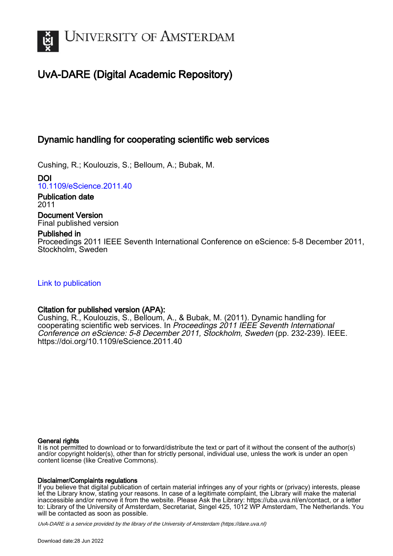

# UvA-DARE (Digital Academic Repository)

## Dynamic handling for cooperating scientific web services

Cushing, R.; Koulouzis, S.; Belloum, A.; Bubak, M.

DOI [10.1109/eScience.2011.40](https://doi.org/10.1109/eScience.2011.40)

Publication date 2011

Document Version Final published version

## Published in

Proceedings 2011 IEEE Seventh International Conference on eScience: 5-8 December 2011, Stockholm, Sweden

[Link to publication](https://dare.uva.nl/personal/pure/en/publications/dynamic-handling-for-cooperating-scientific-web-services(084b0fdb-bb65-441b-8dcb-60755fd0a356).html)

## Citation for published version (APA):

Cushing, R., Koulouzis, S., Belloum, A., & Bubak, M. (2011). Dynamic handling for cooperating scientific web services. In Proceedings 2011 IEEE Seventh International Conference on eScience: 5-8 December 2011, Stockholm, Sweden (pp. 232-239). IEEE. <https://doi.org/10.1109/eScience.2011.40>

## General rights

It is not permitted to download or to forward/distribute the text or part of it without the consent of the author(s) and/or copyright holder(s), other than for strictly personal, individual use, unless the work is under an open content license (like Creative Commons).

## Disclaimer/Complaints regulations

If you believe that digital publication of certain material infringes any of your rights or (privacy) interests, please let the Library know, stating your reasons. In case of a legitimate complaint, the Library will make the material inaccessible and/or remove it from the website. Please Ask the Library: https://uba.uva.nl/en/contact, or a letter to: Library of the University of Amsterdam, Secretariat, Singel 425, 1012 WP Amsterdam, The Netherlands. You will be contacted as soon as possible.

UvA-DARE is a service provided by the library of the University of Amsterdam (http*s*://dare.uva.nl)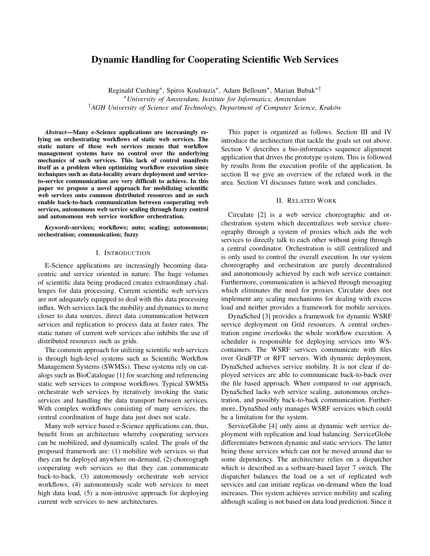## Dynamic Handling for Cooperating Scientific Web Services

Reginald Cushing<sup>∗</sup> , Spiros Koulouzis<sup>∗</sup> , Adam Belloum<sup>∗</sup> , Marian Bubak∗† <sup>∗</sup>*University of Amsterdam, Institute for Informatics, Amsterdam* †*AGH University of Science and Technology, Department of Computer Science, Krakow´*

*Abstract*—Many e-Science applications are increasingly relying on orchestrating workflows of static web services. The static nature of these web services means that workflow management systems have no control over the underlying mechanics of such services. This lack of control manifests itself as a problem when optimizing workflow execution since techniques such as data-locality aware deployment and serviceto-service communication are very difficult to achieve. In this paper we propose a novel approach for mobilizing scientific web services onto common distributed resources and as such enable back-to-back communication between cooperating web services, autonomous web service scaling through fuzzy control and autonomous web service workflow orchestration.

*Keywords*-services; workflows; auto; scaling; autonomous; orchestration; communication; fuzzy

#### I. INTRODUCTION

E-Science applications are increasingly becoming datacentric and service oriented in nature. The huge volumes of scientific data being produced creates extraordinary challenges for data processing. Current scientific web services are not adequately equipped to deal with this data processing influx. Web services lack the mobility and dynamics to move closer to data sources, direct data communication between services and replication to process data at faster rates. The static nature of current web services also inhibits the use of distributed resources such as grids.

The common approach for utilizing scientific web services is through high-level systems such as Scientific Workflow Management Systems (SWMSs). These systems rely on catalogs such as BioCatalogue [1] for searching and referencing static web services to compose workflows. Typical SWMSs orchestrate web services by iteratively invoking the static services and handling the data transport between services. With complex workflows consisting of many services, the central coordination of huge data just does not scale.

Many web service based e-Science applications can, thus, benefit from an architecture whereby cooperating services can be mobilized, and dynamically scaled. The goals of the proposed framework are: (1) mobilize web services so that they can be deployed anywhere on-demand, (2) choreograph cooperating web services so that they can communicate back-to-back, (3) autonomously orchestrate web service workflows, (4) autonomously scale web services to meet high data load, (5) a non-intrusive approach for deploying current web services to new architectures.

This paper is organized as follows. Section III and IV introduce the architecture that tackle the goals set out above. Section V describes a bio-informatics sequence alignment application that drives the prototype system. This is followed by results from the execution profile of the application. In section II we give an overview of the related work in the area. Section VI discusses future work and concludes.

#### II. RELATED WORK

Circulate [2] is a web service choreographic and orchestration system which decentralizes web service choreography through a system of proxies which aids the web services to directly talk to each other without going through a central coordinator. Orchestration is still centralized and is only used to control the overall execution. In our system choreography and orchestration are purely decentralized and autonomously achieved by each web service container. Furthermore, communication is achieved through messaging which eliminates the need for proxies. Circulate does not implement any scaling mechanisms for dealing with excess load and neither provides a framework for mobile services.

DynaSched [3] provides a framework for dynamic WSRF service deployment on Grid resources. A central orchestration engine overlooks the whole workflow execution. A scheduler is responsible for deploying services into WScontainers. The WSRF services communicate with files over GridFTP or RFT servers. With dynamic deployment, DynaSched achieves service mobility. It is not clear if deployed services are able to communicate back-to-back over the file based approach. When compared to our approach, DynaSched lacks web service scaling, autonomous orchestration, and possibly back-to-back communication. Furthermore, DynaShed only manages WSRF services which could be a limitation for the system.

ServiceGlobe [4] only aims at dynamic web service deployment with replication and load balancing. ServiceGlobe differentiates between dynamic and static services. The latter being those services which can not be moved around due to some dependency. The architecture relies on a dispatcher which is described as a software-based layer 7 switch. The dispatcher balances the load on a set of replicated web services and can initiate replicas on-demand when the load increases. This system achieves service mobility and scaling although scaling is not based on data load prediction. Since it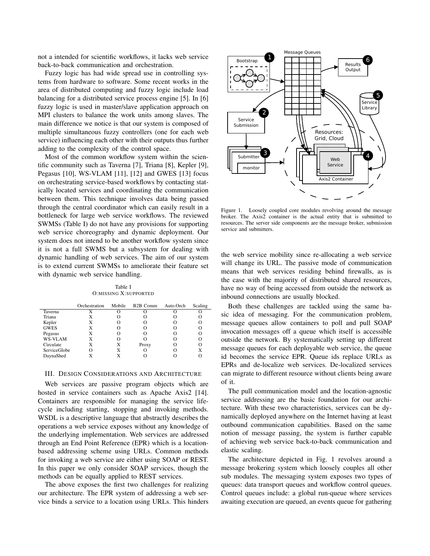not a intended for scientific workflows, it lacks web service back-to-back communication and orchestration.

Fuzzy logic has had wide spread use in controlling systems from hardware to software. Some recent works in the area of distributed computing and fuzzy logic include load balancing for a distributed service process engine [5]. In [6] fuzzy logic is used in master/slave application approach on MPI clusters to balance the work units among slaves. The main difference we notice is that our system is composed of multiple simultaneous fuzzy controllers (one for each web service) influencing each other with their outputs thus further adding to the complexity of the control space.

Most of the common workflow system within the scientific community such as Taverna [7], Triana [8], Kepler [9], Pegasus [10], WS-VLAM [11], [12] and GWES [13] focus on orchestrating service-based workflows by contacting statically located services and coordinating the communication between them. This technique involves data being passed through the central coordinator which can easily result in a bottleneck for large web service workflows. The reviewed SWMSs (Table I) do not have any provisions for supporting web service choreography and dynamic deployment. Our system does not intend to be another workflow system since it is not a full SWMS but a subsystem for dealing with dynamic handling of web services. The aim of our system is to extend current SWMSs to ameliorate their feature set with dynamic web service handling.

Table I O:MISSING X:SUPPORTED

|                     | Orchestration | Mobile | B <sub>2</sub> B Comm | Auto.Orch | Scaling |
|---------------------|---------------|--------|-----------------------|-----------|---------|
| Taverna             | X             |        |                       |           |         |
| Triana              | X             |        |                       |           |         |
| Kepler              | X             | Ω      | 0                     |           | O       |
| <b>GWES</b>         | X             | Ω      |                       |           | Ω       |
| Pegasus             | X             |        | Ω                     |           | Ω       |
| WS-VLAM             | X             | Ω      |                       |           | O       |
| Circulate           | X             | X      | Proxy                 |           | Ω       |
| <b>ServiceGlobe</b> | Ω             | X      |                       |           | X       |
| DaynaShed           | X             | X      |                       |           |         |

#### III. DESIGN CONSIDERATIONS AND ARCHITECTURE

Web services are passive program objects which are hosted in service containers such as Apache Axis2 [14]. Containers are responsible for managing the service lifecycle including starting, stopping and invoking methods. WSDL is a descriptive language that abstractly describes the operations a web service exposes without any knowledge of the underlying implementation. Web services are addressed through an End Point Reference (EPR) which is a locationbased addressing scheme using URLs. Common methods for invoking a web service are either using SOAP or REST. In this paper we only consider SOAP services, though the methods can be equally applied to REST services.

The above exposes the first two challenges for realizing our architecture. The EPR system of addressing a web service binds a service to a location using URLs. This hinders



Figure 1. Loosely coupled core modules revolving around the message broker. The Axis2 container is the actual entity that is submitted to resources. The server side components are the message broker, submission service and submitters.

the web service mobility since re-allocating a web service will change its URL. The passive mode of communication means that web services residing behind firewalls, as is the case with the majority of distributed shared resources, have no way of being accessed from outside the network as inbound connections are usually blocked.

Both these challenges are tackled using the same basic idea of messaging. For the communication problem, message queues allow containers to poll and pull SOAP invocation messages off a queue which itself is accessible outside the network. By systematically setting up different message queues for each deployable web service, the queue id becomes the service EPR. Queue ids replace URLs as EPRs and de-localize web services. De-localized services can migrate to different resource without clients being aware of it.

The pull communication model and the location-agnostic service addressing are the basic foundation for our architecture. With these two characteristics, services can be dynamically deployed anywhere on the Internet having at least outbound communication capabilities. Based on the same notion of message passing, the system is further capable of achieving web service back-to-back communication and elastic scaling.

The architecture depicted in Fig. 1 revolves around a message brokering system which loosely couples all other sub modules. The messaging system exposes two types of queues: data transport queues and workflow control queues. Control queues include: a global run-queue where services awaiting execution are queued, an events queue for gathering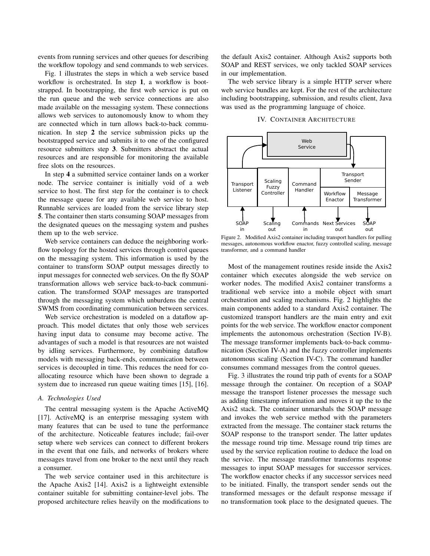events from running services and other queues for describing the workflow topology and send commands to web services.

Fig. 1 illustrates the steps in which a web service based workflow is orchestrated. In step 1, a workflow is bootstrapped. In bootstrapping, the first web service is put on the run queue and the web service connections are also made available on the messaging system. These connections allows web services to autonomously know to whom they are connected which in turn allows back-to-back communication. In step 2 the service submission picks up the bootstrapped service and submits it to one of the configured resource submitters step 3. Submitters abstract the actual resources and are responsible for monitoring the available free slots on the resources.

In step 4 a submitted service container lands on a worker node. The service container is initially void of a web service to host. The first step for the container is to check the message queue for any available web service to host. Runnable services are loaded from the service library step 5. The container then starts consuming SOAP messages from the designated queues on the messaging system and pushes them up to the web service.

Web service containers can deduce the neighboring workflow topology for the hosted services through control queues on the messaging system. This information is used by the container to transform SOAP output messages directly to input messages for connected web services. On the fly SOAP transformation allows web service back-to-back communication. The transformed SOAP messages are transported through the messaging system which unburdens the central SWMS from coordinating communication between services.

Web service orchestration is modeled on a dataflow approach. This model dictates that only those web services having input data to consume may become active. The advantages of such a model is that resources are not waisted by idling services. Furthermore, by combining dataflow models with messaging back-ends, communication between services is decoupled in time. This reduces the need for coallocating resource which have been shown to degrade a system due to increased run queue waiting times [15], [16].

#### *A. Technologies Used*

The central messaging system is the Apache ActiveMQ [17]. ActiveMQ is an enterprise messaging system with many features that can be used to tune the performance of the architecture. Noticeable features include; fail-over setup where web services can connect to different brokers in the event that one fails, and networks of brokers where messages travel from one broker to the next until they reach a consumer.

The web service container used in this architecture is the Apache Axis2 [14]. Axis2 is a lightweight extensible container suitable for submitting container-level jobs. The proposed architecture relies heavily on the modifications to the default Axis2 container. Although Axis2 supports both SOAP and REST services, we only tackled SOAP services in our implementation.

The web service library is a simple HTTP server where web service bundles are kept. For the rest of the architecture including bootstrapping, submission, and results client, Java was used as the programming language of choice.

IV. CONTAINER ARCHITECTURE



Figure 2. Modified Axis2 container including transport handlers for pulling messages, autonomous workflow enactor, fuzzy controlled scaling, message transformer, and a command handler

Most of the management routines reside inside the Axis2 container which executes alongside the web service on worker nodes. The modified Axis2 container transforms a traditional web service into a mobile object with smart orchestration and scaling mechanisms. Fig. 2 highlights the main components added to a standard Axis2 container. The customized transport handlers are the main entry and exit points for the web service. The workflow enactor component implements the autonomous orchestration (Section IV-B). The message transformer implements back-to-back communication (Section IV-A) and the fuzzy controller implements autonomous scaling (Section IV-C). The command handler consumes command messages from the control queues.

Fig. 3 illustrates the round trip path of events for a SOAP message through the container. On reception of a SOAP message the transport listener processes the message such as adding timestamp information and moves it up the to the Axis2 stack. The container unmarshals the SOAP message and invokes the web service method with the parameters extracted from the message. The container stack returns the SOAP response to the transport sender. The latter updates the message round trip time. Message round trip times are used by the service replication routine to deduce the load on the service. The message transformer transforms response messages to input SOAP messages for successor services. The workflow enactor checks if any successor services need to be initiated. Finally, the transport sender sends out the transformed messages or the default response message if no transformation took place to the designated queues. The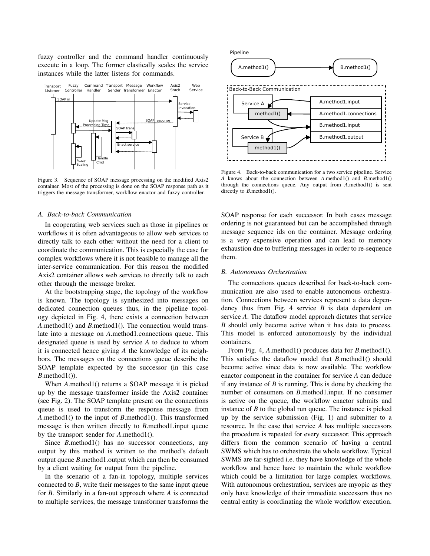fuzzy controller and the command handler continuously execute in a loop. The former elastically scales the service instances while the latter listens for commands.



Figure 3. Sequence of SOAP message processing on the modified Axis2 container. Most of the processing is done on the SOAP response path as it triggers the message transformer, workflow enactor and fuzzy controller.

#### *A. Back-to-back Communication*

In cooperating web services such as those in pipelines or workflows it is often advantageous to allow web services to directly talk to each other without the need for a client to coordinate the communication. This is especially the case for complex workflows where it is not feasible to manage all the inter-service communication. For this reason the modified Axis2 container allows web services to directly talk to each other through the message broker.

At the bootstrapping stage, the topology of the workflow is known. The topology is synthesized into messages on dedicated connection queues thus, in the pipeline topology depicted in Fig. 4, there exists a connection between *A*.method1() and *B*.method1(). The connection would translate into a message on *A*.method1.connections queue. This designated queue is used by service *A* to deduce to whom it is connected hence giving *A* the knowledge of its neighbors. The messages on the connections queue describe the SOAP template expected by the successor (in this case  $B$ .method1()).

When *A*.method1() returns a SOAP message it is picked up by the message transformer inside the Axis2 container (see Fig. 2). The SOAP template present on the connections queue is used to transform the response message from *A*.method1() to the input of *B*.method1(). This transformed message is then written directly to *B*.method1.input queue by the transport sender for *A*.method1().

Since *B*.method1() has no successor connections, any output by this method is written to the method's default output queue *B*.method1.output which can then be consumed by a client waiting for output from the pipeline.

In the scenario of a fan-in topology, multiple services connected to *B*, write their messages to the same input queue for *B*. Similarly in a fan-out approach where *A* is connected to multiple services, the message transformer transforms the



Figure 4. Back-to-back communication for a two service pipeline. Service *A* knows about the connection between *A*.method1() and *B*.method1() through the connections queue. Any output from *A*.method1() is sent directly to *B*.method1().

SOAP response for each successor. In both cases message ordering is not guaranteed but can be accomplished through message sequence ids on the container. Message ordering is a very expensive operation and can lead to memory exhaustion due to buffering messages in order to re-sequence them.

#### *B. Autonomous Orchestration*

The connections queues described for back-to-back communication are also used to enable autonomous orchestration. Connections between services represent a data dependency thus from Fig. 4 service  $B$  is data dependent on service *A*. The dataflow model approach dictates that service *B* should only become active when it has data to process. This model is enforced autonomously by the individual containers.

From Fig. 4, *A*.method1() produces data for *B*.method1(). This satisfies the dataflow model that *B*.method1() should become active since data is now available. The workflow enactor component in the container for service *A* can deduce if any instance of *B* is running. This is done by checking the number of consumers on *B*.method1.input. If no consumer is active on the queue, the workflow enactor submits and instance of *B* to the global run queue. The instance is picked up by the service submission (Fig. 1) and submitter to a resource. In the case that service *A* has multiple successors the procedure is repeated for every successor. This approach differs from the common scenario of having a central SWMS which has to orchestrate the whole workflow. Typical SWMS are far-sighted i.e. they have knowledge of the whole workflow and hence have to maintain the whole workflow which could be a limitation for large complex workflows. With autonomous orchestration, services are myopic as they only have knowledge of their immediate successors thus no central entity is coordinating the whole workflow execution.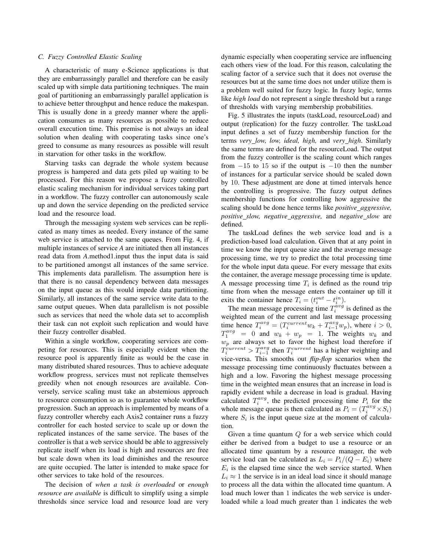#### *C. Fuzzy Controlled Elastic Scaling*

A characteristic of many e-Science applications is that they are embarrassingly parallel and therefore can be easily scaled up with simple data partitioning techniques. The main goal of partitioning an embarrassingly parallel application is to achieve better throughput and hence reduce the makespan. This is usually done in a greedy manner where the application consumes as many resources as possible to reduce overall execution time. This premise is not always an ideal solution when dealing with cooperating tasks since one's greed to consume as many resources as possible will result in starvation for other tasks in the workflow.

Starving tasks can degrade the whole system because progress is hampered and data gets piled up waiting to be processed. For this reason we propose a fuzzy controlled elastic scaling mechanism for individual services taking part in a workflow. The fuzzy controller can autonomously scale up and down the service depending on the predicted service load and the resource load.

Through the messaging system web services can be replicated as many times as needed. Every instance of the same web service is attached to the same queues. From Fig. 4, if multiple instances of service *A* are initiated then all instances read data from *A*.method1.input thus the input data is said to be partitioned amongst all instances of the same service. This implements data parallelism. The assumption here is that there is no causal dependency between data messages on the input queue as this would impede data partitioning. Similarly, all instances of the same service write data to the same output queues. When data parallelism is not possible such as services that need the whole data set to accomplish their task can not exploit such replication and would have their fuzzy controller disabled.

Within a single workflow, cooperating services are competing for resources. This is especially evident when the resource pool is apparently finite as would be the case in many distributed shared resources. Thus to achieve adequate workflow progress, services must not replicate themselves greedily when not enough resources are available. Conversely, service scaling must take an abstemious approach to resource consumption so as to guarantee whole workflow progression. Such an approach is implemented by means of a fuzzy controller whereby each Axis2 container runs a fuzzy controller for each hosted service to scale up or down the replicated instances of the same service. The bases of the controller is that a web service should be able to aggressively replicate itself when its load is high and resources are free but scale down when its load diminishes and the resource are quite occupied. The latter is intended to make space for other services to take hold of the resources.

The decision of *when a task is overloaded* or *enough resource are available* is difficult to simplify using a simple thresholds since service load and resource load are very dynamic especially when cooperating service are influencing each others view of the load. For this reason, calculating the scaling factor of a service such that it does not overuse the resources but at the same time does not under utilize them is a problem well suited for fuzzy logic. In fuzzy logic, terms like *high load* do not represent a single threshold but a range of thresholds with varying membership probabilities.

Fig. 5 illustrates the inputs (taskLoad, resourceLoad) and output (replication) for the fuzzy controller. The taskLoad input defines a set of fuzzy membership function for the terms *very low, low, ideal, high,* and *very high*. Similarly the same terms are defined for the resourceLoad. The output from the fuzzy controller is the scaling count which ranges from  $-15$  to 15 so if the output is  $-10$  then the number of instances for a particular service should be scaled down by 10. These adjustment are done at timed intervals hence the controlling is progressive. The fuzzy output defines membership functions for controlling how aggressive the scaling should be done hence terms like *positive aggressive, positive slow, negative aggressive,* and *negative slow* are defined.

The taskLoad defines the web service load and is a prediction-based load calculation. Given that at any point in time we know the input queue size and the average message processing time, we try to predict the total processing time for the whole input data queue. For every message that exits the container, the average message processing time is update. A message processing time  $T_i$  is defined as the round trip time from when the message enters the container up till it exits the container hence  $T_i = (t_i^{out} - t_i^{in}).$ 

The mean message processing time  $T_i^{\hat{avg}}$  is defined as the weighted mean of the current and last message processing time hence  $T_i^{avg} = (T_i^{current}w_k + T_{i-1}^{avg}w_p)$ , where  $i > 0$ ,  $T_1^{avg}$  = 0 and  $w_k + w_p$  = 1. The weights  $w_k$  and  $w_p$  are always set to favor the highest load therefore if  $T_i^{current} > T_{i-1}^{avg}$  then  $T_i^{current}$  has a higher weighting and vice-versa. This smooths out *flip-flop* scenarios when the message processing time continuously fluctuates between a high and a low. Favoring the highest message processing time in the weighted mean ensures that an increase in load is rapidly evident while a decrease in load is gradual. Having calculated  $T_i^{avg}$ , the predicted processing time  $P_i$  for the whole message queue is then calculated as  $P_i = (T_i^{avg} \times S_i)$ where  $S_i$  is the input queue size at the moment of calculation.

Given a time quantum Q for a web service which could either be derived from a budget to use a resource or an allocated time quantum by a resource manager, the web service load can be calculated as  $L_i = P_i/(Q - E_i)$  where  $E_i$  is the elapsed time since the web service started. When  $L_i \approx 1$  the service is in an ideal load since it should manage to process all the data within the allocated time quantum. A load much lower than 1 indicates the web service is underloaded while a load much greater than 1 indicates the web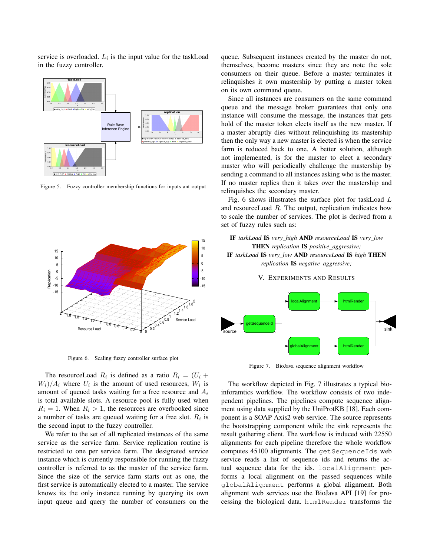service is overloaded.  $L_i$  is the input value for the taskLoad in the fuzzy controller.



Figure 5. Fuzzy controller membership functions for inputs ant output



Figure 6. Scaling fuzzy controller surface plot

The resourceLoad  $R_i$  is defined as a ratio  $R_i = (U_i +$  $W_i$ / $A_i$  where  $U_i$  is the amount of used resources,  $W_i$  is amount of queued tasks waiting for a free resource and  $A_i$ is total available slots. A resource pool is fully used when  $R_i = 1$ . When  $R_i > 1$ , the resources are overbooked since a number of tasks are queued waiting for a free slot.  $R_i$  is the second input to the fuzzy controller.

We refer to the set of all replicated instances of the same service as the service farm. Service replication routine is restricted to one per service farm. The designated service instance which is currently responsible for running the fuzzy controller is referred to as the master of the service farm. Since the size of the service farm starts out as one, the first service is automatically elected to a master. The service knows its the only instance running by querying its own input queue and query the number of consumers on the queue. Subsequent instances created by the master do not, themselves, become masters since they are note the sole consumers on their queue. Before a master terminates it relinquishes it own mastership by putting a master token on its own command queue.

Since all instances are consumers on the same command queue and the message broker guarantees that only one instance will consume the message, the instances that gets hold of the master token elects itself as the new master. If a master abruptly dies without relinquishing its mastership then the only way a new master is elected is when the service farm is reduced back to one. A better solution, although not implemented, is for the master to elect a secondary master who will periodically challenge the mastership by sending a command to all instances asking who is the master. If no master replies then it takes over the mastership and relinquishes the secondary master.

Fig. 6 shows illustrates the surface plot for taskLoad L and resourceLoad R. The output, replication indicates how to scale the number of services. The plot is derived from a set of fuzzy rules such as:

## IF *taskLoad* IS *very high* AND *resourceLoad* IS *very low* THEN *replication* IS *positive aggressive;* IF *taskLoad* IS *very low* AND *resourceLoad* IS *high* THEN *replication* IS *negative\_aggressive*;

V. EXPERIMENTS AND RESULTS



Figure 7. BioJava sequence alignment workflow

The workflow depicted in Fig. 7 illustrates a typical bioinforamtics workflow. The workflow consists of two independent pipelines. The pipelines compute sequence alignment using data supplied by the UniProtKB [18]. Each component is a SOAP Axis2 web service. The source represents the bootstrapping component while the sink represents the result gathering client. The workflow is induced with 22550 alignments for each pipeline therefore the whole workflow computes 45100 alignments. The getSequenceIds web service reads a list of sequence ids and returns the actual sequence data for the ids. localAlignment performs a local alignment on the passed sequences while globalAlignment performs a global alignment. Both alignment web services use the BioJava API [19] for processing the biological data. htmlRender transforms the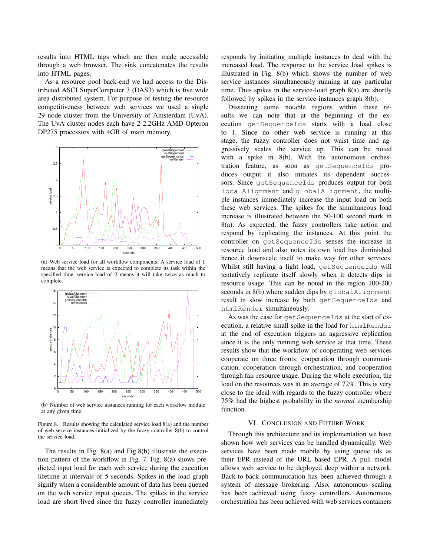results into HTML tags which are then made accessible through a web browser. The sink concatenates the results into HTML pages.

As a resource pool back-end we had access to the Distributed ASCI SuperComputer 3 (DAS3) which is five wide area distributed system. For purpose of testing the resource competitiveness between web services we used a single 29 node cluster from the University of Amsterdam (UvA). The UvA cluster nodes each have 2 2.2GHz AMD Opteron DP275 processors with 4GB of main memory.



(a) Web service load for all workflow components. A service load of 1 means that the web service is expected to complete its task within the specified time, service load of  $2$  means it will take twice as much to complete.



(b) Number of web service instances running for each workflow module at any given time.

Figure 8. Results showing the calculated service load 8(a) and the number of web service instances initialized by the fuzzy controller 8(b) to control the service load.

The results in Fig. 8(a) and Fig.8(b) illustrate the execution pattern of the workflow in Fig. 7. Fig. 8(a) shows predicted input load for each web service during the execution lifetime at intervals of 5 seconds. Spikes in the load graph signify when a considerable amount of data has been queued on the web service input queues. The spikes in the service load are short lived since the fuzzy controller immediately responds by initiating multiple instances to deal with the increased load. The response to the service load spikes is illustrated in Fig. 8(b) which shows the number of web service instances simultaneously running at any particular time. Thus spikes in the service-load graph 8(a) are shortly followed by spikes in the service-instances graph 8(b).

Dissecting some notable regions within these results we can note that at the beginning of the execution getSequenceIds starts with a load close to 1. Since no other web service is running at this stage, the fuzzy controller does not waist time and aggressively scales the service up. This can be noted with a spike in 8(b). With the autonomous orchestration feature, as soon as getSequenceIds produces output it also initiates its dependent successors. Since getSequenceIds produces output for both localAlignment and globalAlignment, the multiple instances immediately increase the input load on both these web services. The spikes for the simultaneous load increase is illustrated between the 50-100 second mark in 8(a). As expected, the fuzzy controllers take action and respond by replicating the instances. At this point the controller on getSequenceIds senses the increase in resource load and also notes its own load has diminished hence it downscale itself to make way for other services. Whilst still having a light load, getSequenceIds will tentatively replicate itself slowly when it detects dips in resource usage. This can be noted in the region 100-200 seconds in 8(b) where sudden dips by globalAlignment result in slow increase by both getSequenceIds and htmlRender simultaneously.

As was the case for getSequenceIds at the start of execution, a relative small spike in the load for htmlRender at the end of execution triggers an aggressive replication since it is the only running web service at that time. These results show that the workflow of cooperating web services cooperate on three fronts: cooperation through communication, cooperation through orchestration, and cooperation through fair resource usage. During the whole execution, the load on the resources was at an average of 72%. This is very close to the ideal with regards to the fuzzy controller where 75% had the highest probability in the *normal* membership function.

#### VI. CONCLUSION AND FUTURE WORK

Through this architecture and its implementation we have shown how web services can be handled dynamically. Web services have been made mobile by using queue ids as their EPR instead of the URL based EPR. A pull model allows web service to be deployed deep within a network. Back-to-back communication has been achieved through a system of message brokering. Also, autonomous scaling has been achieved using fuzzy controllers. Autonomous orchestration has been achieved with web services containers